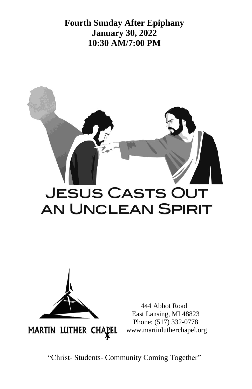**Fourth Sunday After Epiphany January 30, 2022 10:30 AM/7:00 PM**





 444 Abbot Road East Lansing, MI 48823 Phone: (517) 332-0778

"Christ- Students- Community Coming Together"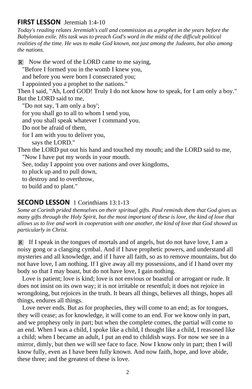#### **FIRST LESSON** Jeremiah 1:4-10

*Today's reading relates Jeremiah's call and commission as a prophet in the years before the Babylonian exile. His task was to preach God's word in the midst of the difficult political realities of the time. He was to make God known, not just among the Judeans, but also among the nations.*

 $\mathbb{R}$  Now the word of the LORD came to me saying, "Before I formed you in the womb I knew you, and before you were born I consecrated you; I appointed you a prophet to the nations." Then I said, "Ah, Lord GOD! Truly I do not know how to speak, for I am only a boy." But the LORD said to me, "Do not say, 'I am only a boy'; for you shall go to all to whom I send you, and you shall speak whatever I command you. Do not be afraid of them, for I am with you to deliver you, says the LORD." Then the LORD put out his hand and touched my mouth; and the LORD said to me, "Now I have put my words in your mouth. See, today I appoint you over nations and over kingdoms, to pluck up and to pull down, to destroy and to overthrow, to build and to plant."

#### **SECOND LESSON** 1 Corinthians 13:1-13

*Some at Corinth prided themselves on their spiritual gifts. Paul reminds them that God gives us many gifts through the Holy Spirit, but the most important of these is love, the kind of love that allows us to live and work in cooperation with one another, the kind of love that God showed us particularly in Christ.*

 $\overline{R}$  If I speak in the tongues of mortals and of angels, but do not have love, I am a noisy gong or a clanging cymbal. And if I have prophetic powers, and understand all mysteries and all knowledge, and if I have all faith, so as to remove mountains, but do not have love, I am nothing. If I give away all my possessions, and if I hand over my body so that I may boast, but do not have love, I gain nothing.

 Love is patient; love is kind; love is not envious or boastful or arrogant or rude. It does not insist on its own way; it is not irritable or resentful; it does not rejoice in wrongdoing, but rejoices in the truth. It bears all things, believes all things, hopes all things, endures all things.

 Love never ends. But as for prophecies, they will come to an end; as for tongues, they will cease; as for knowledge, it will come to an end. For we know only in part, and we prophesy only in part; but when the complete comes, the partial will come to an end. When I was a child, I spoke like a child, I thought like a child, I reasoned like a child; when I became an adult, I put an end to childish ways. For now we see in a mirror, dimly, but then we will see face to face. Now I know only in part; then I will know fully, even as I have been fully known. And now faith, hope, and love abide, these three; and the greatest of these is love.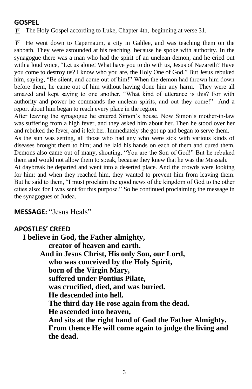# **GOSPEL**

The Holy Gospel according to Luke, Chapter 4th, beginning at verse 31.

He went down to Capernaum, a city in Galilee, and was teaching them on the sabbath. They were astounded at his teaching, because he spoke with authority. In the synagogue there was a man who had the spirit of an unclean demon, and he cried out with a loud voice, "Let us alone! What have you to do with us, Jesus of Nazareth? Have you come to destroy us? I know who you are, the Holy One of God." But Jesus rebuked him, saying, "Be silent, and come out of him!" When the demon had thrown him down before them, he came out of him without having done him any harm. They were all amazed and kept saying to one another, "What kind of utterance is this? For with authority and power he commands the unclean spirits, and out they come!" And a report about him began to reach every place in the region.

After leaving the synagogue he entered Simon's house. Now Simon's mother-in-law was suffering from a high fever, and they asked him about her. Then he stood over her and rebuked the fever, and it left her. Immediately she got up and began to serve them.

As the sun was setting, all those who had any who were sick with various kinds of diseases brought them to him; and he laid his hands on each of them and cured them. Demons also came out of many, shouting, "You are the Son of God!" But he rebuked them and would not allow them to speak, because they knew that he was the Messiah.

At daybreak he departed and went into a deserted place. And the crowds were looking for him; and when they reached him, they wanted to prevent him from leaving them. But he said to them, "I must proclaim the good news of the kingdom of God to the other cities also; for I was sent for this purpose." So he continued proclaiming the message in the synagogues of Judea.

**MESSAGE:** "Jesus Heals"

# **APOSTLES' CREED**

**I believe in God, the Father almighty, creator of heaven and earth.**

> **And in Jesus Christ, His only Son, our Lord, who was conceived by the Holy Spirit, born of the Virgin Mary, suffered under Pontius Pilate, was crucified, died, and was buried. He descended into hell. The third day He rose again from the dead. He ascended into heaven, And sits at the right hand of God the Father Almighty. From thence He will come again to judge the living and the dead.**